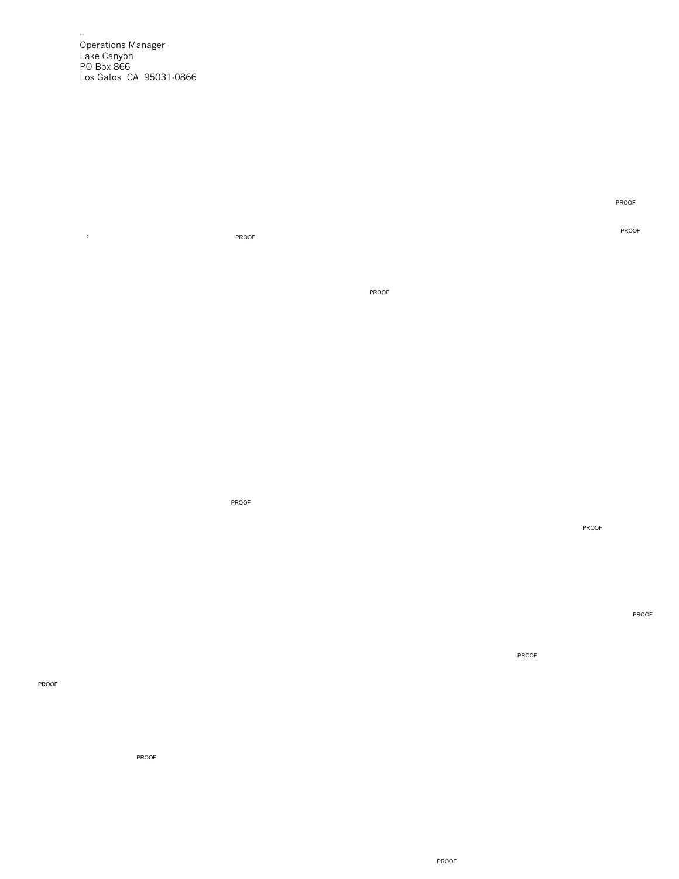Operations Manager Lake Canyon PO Box 866 Los Gatos CA 95031-0866

--

,

PROOF

PROOF

PROOF

PROOF

PROOF

PROOF

PROOF

PROOF

PROOF

PROOF

PROOF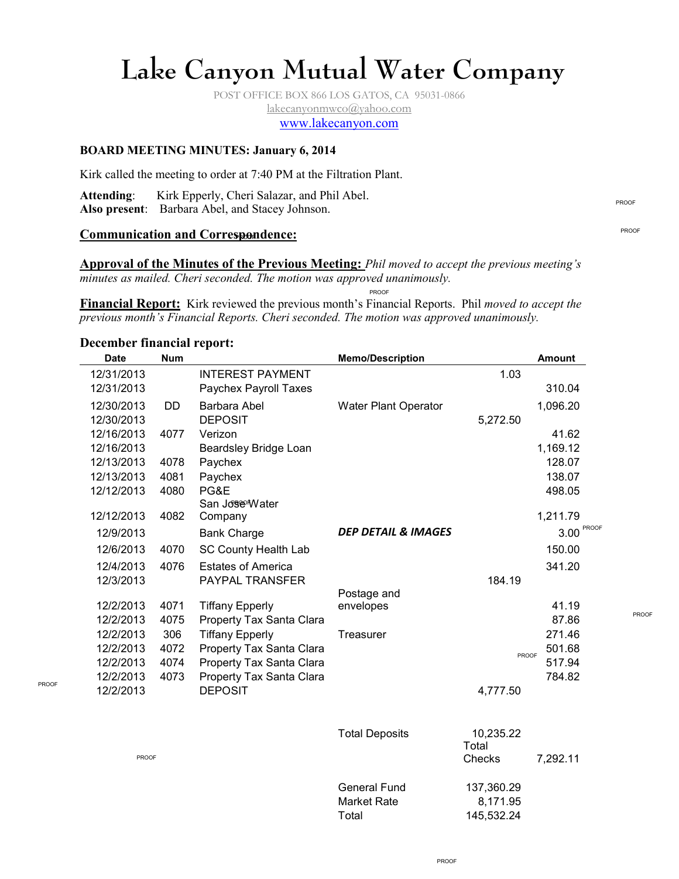# **Lake Canyon Mutual Water Company**

POST OFFICE BOX 866 LOS GATOS, CA 95031-0866 lakecanyonmwco@yahoo.com www.lakecanyon.com

# **BOARD MEETING MINUTES: January 6, 2014**

Kirk called the meeting to order at 7:40 PM at the Filtration Plant.

**Attending**: Kirk Epperly, Cheri Salazar, and Phil Abel. **Also present**: Barbara Abel, and Stacey Johnson.

#### **Communication and Correspondence:**

PROOF

PROOF

**Approval of the Minutes of the Previous Meeting:** *Phil moved to accept the previous meeting's minutes as mailed. Cheri seconded. The motion was approved unanimously.* 

PROOF

**Financial Report:** Kirk reviewed the previous month's Financial Reports. Phil *moved to accept the previous month's Financial Reports. Cheri seconded. The motion was approved unanimously.* 

#### **December financial report:**

| <b>Date</b> | <b>Num</b> |                             | <b>Memo/Description</b>        |           | <b>Amount</b> |
|-------------|------------|-----------------------------|--------------------------------|-----------|---------------|
| 12/31/2013  |            | <b>INTEREST PAYMENT</b>     |                                | 1.03      |               |
| 12/31/2013  |            | Paychex Payroll Taxes       |                                |           | 310.04        |
| 12/30/2013  | <b>DD</b>  | Barbara Abel                | Water Plant Operator           |           | 1,096.20      |
| 12/30/2013  |            | <b>DEPOSIT</b>              |                                | 5,272.50  |               |
| 12/16/2013  | 4077       | Verizon                     |                                |           | 41.62         |
| 12/16/2013  |            | Beardsley Bridge Loan       |                                |           | 1,169.12      |
| 12/13/2013  | 4078       | Paychex                     |                                |           | 128.07        |
| 12/13/2013  | 4081       | Paychex                     |                                |           | 138.07        |
| 12/12/2013  | 4080       | PG&E                        |                                |           | 498.05        |
|             |            | San Jose Water              |                                |           |               |
| 12/12/2013  | 4082       | Company                     |                                |           | 1,211.79      |
| 12/9/2013   |            | <b>Bank Charge</b>          | <b>DEP DETAIL &amp; IMAGES</b> |           | PROOF<br>3.00 |
| 12/6/2013   | 4070       | <b>SC County Health Lab</b> |                                |           | 150.00        |
| 12/4/2013   | 4076       | <b>Estates of America</b>   |                                |           | 341.20        |
| 12/3/2013   |            | <b>PAYPAL TRANSFER</b>      |                                | 184.19    |               |
|             |            |                             | Postage and                    |           |               |
| 12/2/2013   | 4071       | <b>Tiffany Epperly</b>      | envelopes                      |           | 41.19         |
| 12/2/2013   | 4075       | Property Tax Santa Clara    |                                |           | 87.86         |
| 12/2/2013   | 306        | <b>Tiffany Epperly</b>      | Treasurer                      |           | 271.46        |
| 12/2/2013   | 4072       | Property Tax Santa Clara    |                                | PROOF     | 501.68        |
| 12/2/2013   | 4074       | Property Tax Santa Clara    |                                |           | 517.94        |
| 12/2/2013   | 4073       | Property Tax Santa Clara    |                                |           | 784.82        |
| 12/2/2013   |            | <b>DEPOSIT</b>              |                                | 4,777.50  |               |
|             |            |                             |                                |           |               |
|             |            |                             | <b>Total Deposits</b>          | 10,235.22 |               |

| <b>PROOF</b> | <b>Total Deposits</b> | 10,235.22<br>Total<br>Checks<br>7,292.11 |  |
|--------------|-----------------------|------------------------------------------|--|
|              | <b>General Fund</b>   | 137,360.29                               |  |
|              | Market Rate           | 8,171.95                                 |  |
|              | Total                 | 145,532.24                               |  |

PROOF

PROOF